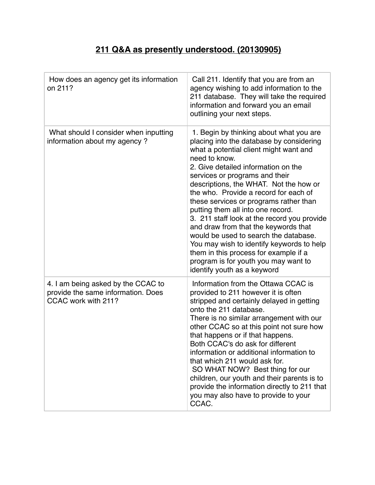## **211 Q&A as presently understood. (20130905)**

| How does an agency get its information<br>on 211?                                               | Call 211. Identify that you are from an<br>agency wishing to add information to the<br>211 database. They will take the required<br>information and forward you an email<br>outlining your next steps.                                                                                                                                                                                                                                                                                                                                                                                                                                                                                 |
|-------------------------------------------------------------------------------------------------|----------------------------------------------------------------------------------------------------------------------------------------------------------------------------------------------------------------------------------------------------------------------------------------------------------------------------------------------------------------------------------------------------------------------------------------------------------------------------------------------------------------------------------------------------------------------------------------------------------------------------------------------------------------------------------------|
| What should I consider when inputting<br>information about my agency?                           | 1. Begin by thinking about what you are<br>placing into the database by considering<br>what a potential client might want and<br>need to know.<br>2. Give detailed information on the<br>services or programs and their<br>descriptions, the WHAT. Not the how or<br>the who. Provide a record for each of<br>these services or programs rather than<br>putting them all into one record.<br>3. 211 staff look at the record you provide<br>and draw from that the keywords that<br>would be used to search the database.<br>You may wish to identify keywords to help<br>them in this process for example if a<br>program is for youth you may want to<br>identify youth as a keyword |
| 4. I am being asked by the CCAC to<br>provide the same information. Does<br>CCAC work with 211? | Information from the Ottawa CCAC is<br>provided to 211 however it is often<br>stripped and certainly delayed in getting<br>onto the 211 database.<br>There is no similar arrangement with our<br>other CCAC so at this point not sure how<br>that happens or if that happens.<br>Both CCAC's do ask for different<br>information or additional information to<br>that which 211 would ask for.<br>SO WHAT NOW? Best thing for our<br>children, our youth and their parents is to<br>provide the information directly to 211 that<br>you may also have to provide to your<br>CCAC.                                                                                                      |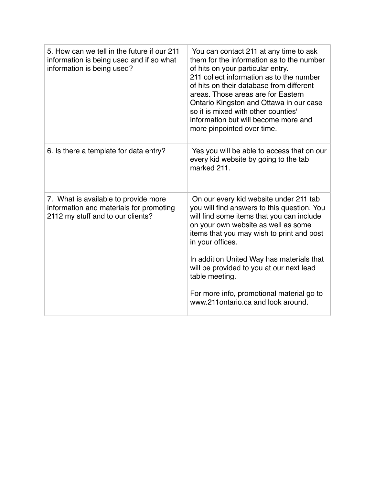| 5. How can we tell in the future if our 211<br>information is being used and if so what<br>information is being used? | You can contact 211 at any time to ask<br>them for the information as to the number<br>of hits on your particular entry.<br>211 collect information as to the number<br>of hits on their database from different<br>areas. Those areas are for Eastern<br>Ontario Kingston and Ottawa in our case<br>so it is mixed with other counties'<br>information but will become more and<br>more pinpointed over time.                           |
|-----------------------------------------------------------------------------------------------------------------------|------------------------------------------------------------------------------------------------------------------------------------------------------------------------------------------------------------------------------------------------------------------------------------------------------------------------------------------------------------------------------------------------------------------------------------------|
| 6. Is there a template for data entry?                                                                                | Yes you will be able to access that on our<br>every kid website by going to the tab<br>marked 211.                                                                                                                                                                                                                                                                                                                                       |
| 7. What is available to provide more<br>information and materials for promoting<br>2112 my stuff and to our clients?  | On our every kid website under 211 tab<br>you will find answers to this question. You<br>will find some items that you can include<br>on your own website as well as some<br>items that you may wish to print and post<br>in your offices.<br>In addition United Way has materials that<br>will be provided to you at our next lead<br>table meeting.<br>For more info, promotional material go to<br>www.211ontario.ca and look around. |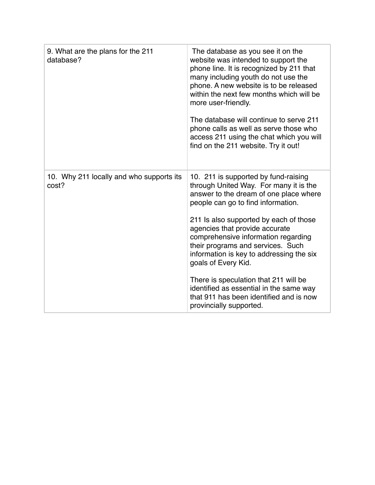| 9. What are the plans for the 211<br>database?    | The database as you see it on the<br>website was intended to support the<br>phone line. It is recognized by 211 that<br>many including youth do not use the<br>phone. A new website is to be released<br>within the next few months which will be<br>more user-friendly.<br>The database will continue to serve 211<br>phone calls as well as serve those who<br>access 211 using the chat which you will<br>find on the 211 website. Try it out!                                                                                                   |
|---------------------------------------------------|-----------------------------------------------------------------------------------------------------------------------------------------------------------------------------------------------------------------------------------------------------------------------------------------------------------------------------------------------------------------------------------------------------------------------------------------------------------------------------------------------------------------------------------------------------|
| 10. Why 211 locally and who supports its<br>cost? | 10. 211 is supported by fund-raising<br>through United Way. For many it is the<br>answer to the dream of one place where<br>people can go to find information.<br>211 Is also supported by each of those<br>agencies that provide accurate<br>comprehensive information regarding<br>their programs and services. Such<br>information is key to addressing the six<br>goals of Every Kid.<br>There is speculation that 211 will be<br>identified as essential in the same way<br>that 911 has been identified and is now<br>provincially supported. |